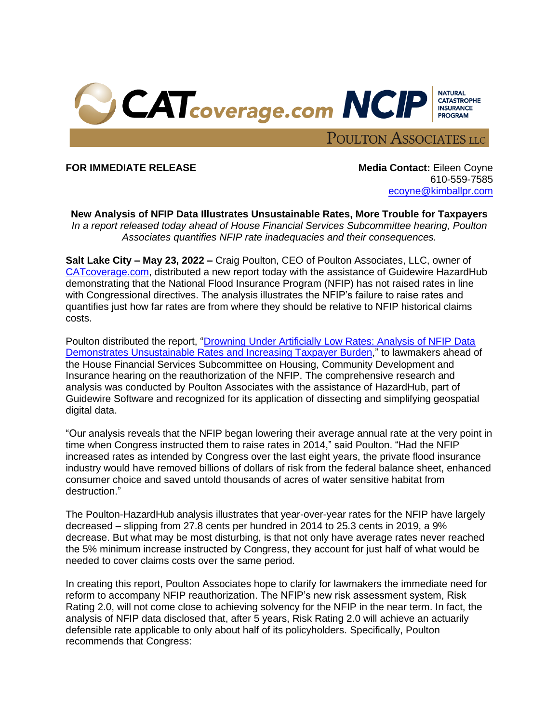

**FOR IMMEDIATE RELEASE Media Contact:** Eileen Coyne

610-559-7585 [ecoyne@kimballpr.com](mailto:RStephen@kimballpr.com)

**New Analysis of NFIP Data Illustrates Unsustainable Rates, More Trouble for Taxpayers** *In a report released today ahead of House Financial Services Subcommittee hearing, Poulton Associates quantifies NFIP rate inadequacies and their consequences.*

**Salt Lake City – May 23, 2022 –** Craig Poulton, CEO of Poulton Associates, LLC, owner of [CATcoverage.com,](https://www.catcoverage.com/) distributed a new report today with the assistance of Guidewire HazardHub demonstrating that the National Flood Insurance Program (NFIP) has not raised rates in line with Congressional directives. The analysis illustrates the NFIP's failure to raise rates and quantifies just how far rates are from where they should be relative to NFIP historical claims costs.

Poulton distributed the report, ["Drowning Under Artificially Low Rates: Analysis of NFIP Data](https://www.catcoverage.com/fairflood)  [Demonstrates Unsustainable Rates](https://www.catcoverage.com/fairflood) and Increasing Taxpayer Burden," to lawmakers ahead of the House Financial Services Subcommittee on Housing, Community Development and Insurance hearing on the reauthorization of the NFIP. The comprehensive research and analysis was conducted by Poulton Associates with the assistance of HazardHub, part of Guidewire Software and recognized for its application of dissecting and simplifying geospatial digital data.

"Our analysis reveals that the NFIP began lowering their average annual rate at the very point in time when Congress instructed them to raise rates in 2014," said Poulton. "Had the NFIP increased rates as intended by Congress over the last eight years, the private flood insurance industry would have removed billions of dollars of risk from the federal balance sheet, enhanced consumer choice and saved untold thousands of acres of water sensitive habitat from destruction."

The Poulton-HazardHub analysis illustrates that year-over-year rates for the NFIP have largely decreased – slipping from 27.8 cents per hundred in 2014 to 25.3 cents in 2019, a 9% decrease. But what may be most disturbing, is that not only have average rates never reached the 5% minimum increase instructed by Congress, they account for just half of what would be needed to cover claims costs over the same period.

In creating this report, Poulton Associates hope to clarify for lawmakers the immediate need for reform to accompany NFIP reauthorization. The NFIP's new risk assessment system, Risk Rating 2.0, will not come close to achieving solvency for the NFIP in the near term. In fact, the analysis of NFIP data disclosed that, after 5 years, Risk Rating 2.0 will achieve an actuarily defensible rate applicable to only about half of its policyholders. Specifically, Poulton recommends that Congress: